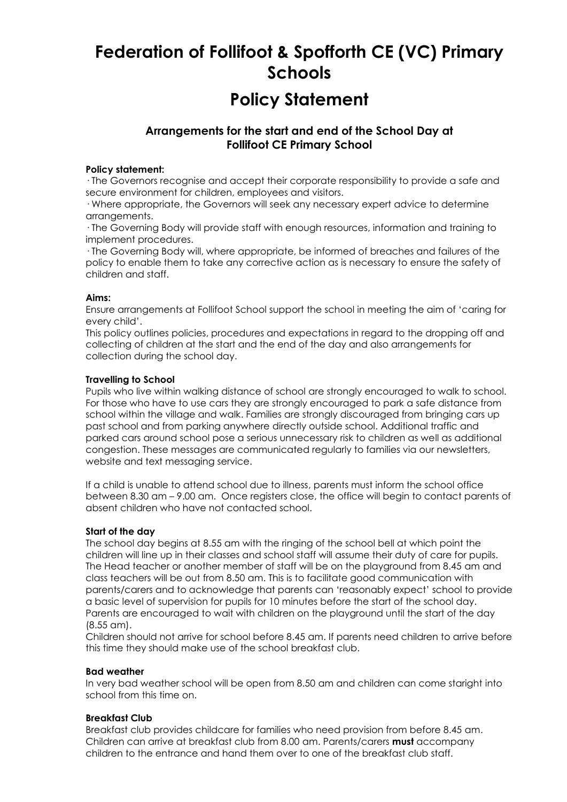# **Federation of Follifoot & Spofforth CE (VC) Primary Schools**

## **Policy Statement**

### **Arrangements for the start and end of the School Day at Follifoot CE Primary School**

#### **Policy statement:**

· The Governors recognise and accept their corporate responsibility to provide a safe and secure environment for children, employees and visitors.

· Where appropriate, the Governors will seek any necessary expert advice to determine arrangements.

· The Governing Body will provide staff with enough resources, information and training to implement procedures.

· The Governing Body will, where appropriate, be informed of breaches and failures of the policy to enable them to take any corrective action as is necessary to ensure the safety of children and staff.

#### **Aims:**

Ensure arrangements at Follifoot School support the school in meeting the aim of 'caring for every child'.

This policy outlines policies, procedures and expectations in regard to the dropping off and collecting of children at the start and the end of the day and also arrangements for collection during the school day.

#### **Travelling to School**

Pupils who live within walking distance of school are strongly encouraged to walk to school. For those who have to use cars they are strongly encouraged to park a safe distance from school within the village and walk. Families are strongly discouraged from bringing cars up past school and from parking anywhere directly outside school. Additional traffic and parked cars around school pose a serious unnecessary risk to children as well as additional congestion. These messages are communicated regularly to families via our newsletters, website and text messaging service.

If a child is unable to attend school due to illness, parents must inform the school office between 8.30 am – 9.00 am. Once registers close, the office will begin to contact parents of absent children who have not contacted school.

#### **Start of the day**

The school day begins at 8.55 am with the ringing of the school bell at which point the children will line up in their classes and school staff will assume their duty of care for pupils. The Head teacher or another member of staff will be on the playground from 8.45 am and class teachers will be out from 8.50 am. This is to facilitate good communication with parents/carers and to acknowledge that parents can 'reasonably expect' school to provide a basic level of supervision for pupils for 10 minutes before the start of the school day. Parents are encouraged to wait with children on the playground until the start of the day (8.55 am).

Children should not arrive for school before 8.45 am. If parents need children to arrive before this time they should make use of the school breakfast club.

#### **Bad weather**

In very bad weather school will be open from 8.50 am and children can come staright into school from this time on.

#### **Breakfast Club**

Breakfast club provides childcare for families who need provision from before 8.45 am. Children can arrive at breakfast club from 8.00 am. Parents/carers **must** accompany children to the entrance and hand them over to one of the breakfast club staff.